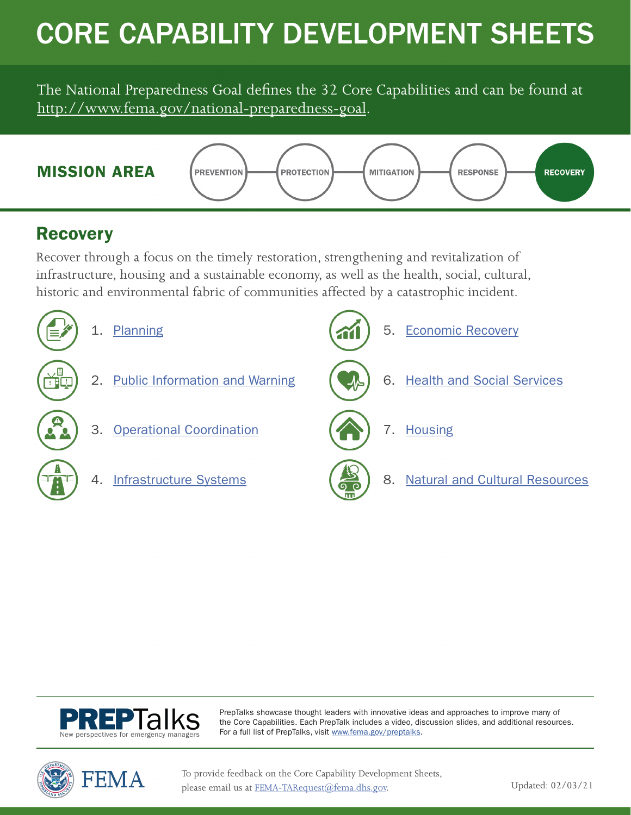# CORE CAPABILITY DEVELOPMENT SHEETS

The National Preparedness Goal defines the 32 Core Capabilities and can be found at [http://www.fema.gov/national-preparedness-goal.](http://www.fema.gov/national-preparedness-goal)



### **Recovery**

Recover through a focus on the timely restoration, strengthening and revitalization of infrastructure, housing and a sustainable economy, as well as the health, social, cultural, historic and environmental fabric of communities affected by a catastrophic incident.





PrepTalks showcase thought leaders with innovative ideas and approaches to improve many of the Core Capabilities. Each PrepTalk includes a video, discussion slides, and additional resources. For a full list of PrepTalks, visit [www.fema.gov/preptalks](http://www.fema.gov/preptalks).



To provide feedback on the Core Capability Development Sheets, please email us at [FEMA-TARequest@fema.dhs.gov.](mailto:FEMA-TARequest%40fema.dhs.gov?subject=)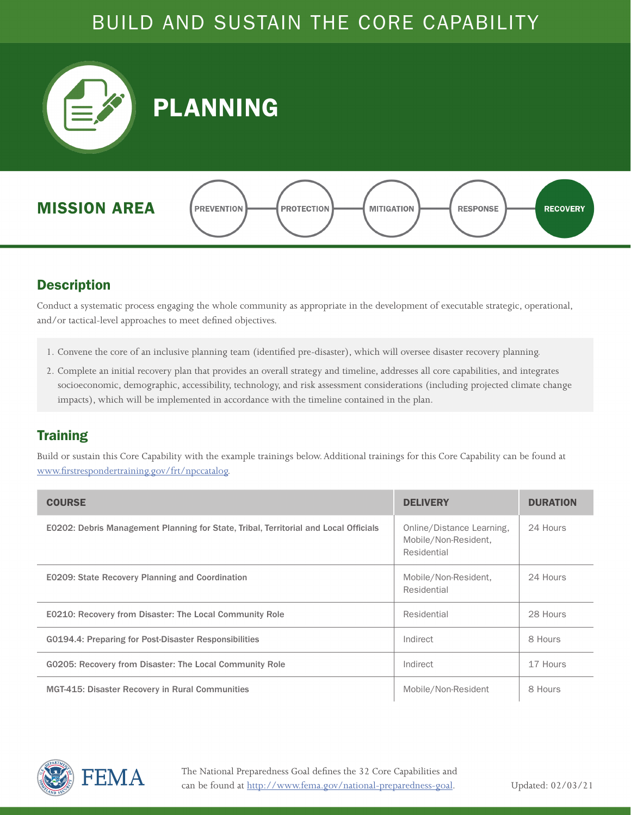<span id="page-1-0"></span>

#### **Description**

Conduct a systematic process engaging the whole community as appropriate in the development of executable strategic, operational, and/or tactical-level approaches to meet defined objectives.

- 1. Convene the core of an inclusive planning team (identified pre-disaster), which will oversee disaster recovery planning.
- 2. Complete an initial recovery plan that provides an overall strategy and timeline, addresses all core capabilities, and integrates socioeconomic, demographic, accessibility, technology, and risk assessment considerations (including projected climate change impacts), which will be implemented in accordance with the timeline contained in the plan.

#### **Training**

| <b>COURSE</b>                                                                        | <b>DELIVERY</b>                                                  | <b>DURATION</b> |
|--------------------------------------------------------------------------------------|------------------------------------------------------------------|-----------------|
| E0202: Debris Management Planning for State, Tribal, Territorial and Local Officials | Online/Distance Learning,<br>Mobile/Non-Resident,<br>Residential | 24 Hours        |
| <b>E0209: State Recovery Planning and Coordination</b>                               | Mobile/Non-Resident,<br>Residential                              | 24 Hours        |
| E0210: Recovery from Disaster: The Local Community Role                              | Residential                                                      | 28 Hours        |
| G0194.4: Preparing for Post-Disaster Responsibilities                                | Indirect                                                         | 8 Hours         |
| G0205: Recovery from Disaster: The Local Community Role                              | Indirect                                                         | 17 Hours        |
| <b>MGT-415: Disaster Recovery in Rural Communities</b>                               | Mobile/Non-Resident                                              | 8 Hours         |

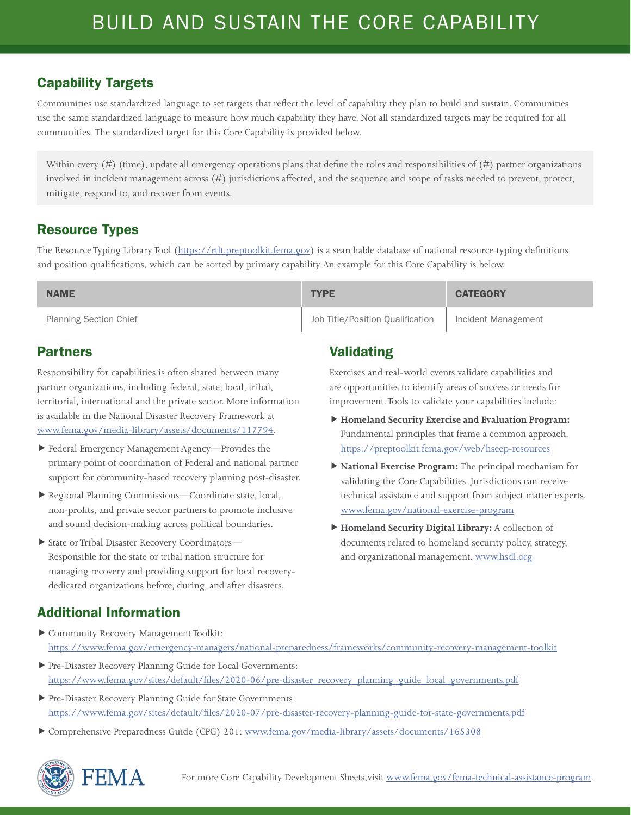Communities use standardized language to set targets that reflect the level of capability they plan to build and sustain. Communities use the same standardized language to measure how much capability they have. Not all standardized targets may be required for all communities. The standardized target for this Core Capability is provided below.

Within every  $(\#)$  (time), update all emergency operations plans that define the roles and responsibilities of  $(\#)$  partner organizations involved in incident management across (#) jurisdictions affected, and the sequence and scope of tasks needed to prevent, protect, mitigate, respond to, and recover from events.

#### Resource Types

The Resource Typing Library Tool (<https://rtlt.preptoolkit.fema.gov>) is a searchable database of national resource typing definitions and position qualifications, which can be sorted by primary capability. An example for this Core Capability is below.

| <b>NAME</b>                   | <b>TYPE</b>                      | <b>CATEGORY</b>     |
|-------------------------------|----------------------------------|---------------------|
| <b>Planning Section Chief</b> | Job Title/Position Qualification | Incident Management |

#### Partners

Responsibility for capabilities is often shared between many partner organizations, including federal, state, local, tribal, territorial, international and the private sector. More information is available in the National Disaster Recovery Framework at [www.fema.gov/media-library/assets/documents/117794](http://www.fema.gov/media-library/assets/documents/117794).

- Federal Emergency Management Agency—Provides the primary point of coordination of Federal and national partner support for community-based recovery planning post-disaster.
- Regional Planning Commissions—Coordinate state, local, non-profits, and private sector partners to promote inclusive and sound decision-making across political boundaries.
- State or Tribal Disaster Recovery Coordinators— Responsible for the state or tribal nation structure for managing recovery and providing support for local recoverydedicated organizations before, during, and after disasters.

#### Validating

Exercises and real-world events validate capabilities and are opportunities to identify areas of success or needs for improvement. Tools to validate your capabilities include:

- **Homeland Security Exercise and Evaluation Program:**  Fundamental principles that frame a common approach. <https://preptoolkit.fema.gov/web/hseep-resources>
- **National Exercise Program:** The principal mechanism for validating the Core Capabilities. Jurisdictions can receive technical assistance and support from subject matter experts. [www.fema.gov/national-exercise-program](http://www.fema.gov/national-exercise-program)
- **Homeland Security Digital Library:** A collection of documents related to homeland security policy, strategy, and organizational management. [www.hsdl.org](http://www.hsdl.org)

- Community Recovery Management Toolkit: <https://www.fema.gov/emergency-managers/national-preparedness/frameworks/community-recovery-management-toolkit>
- Pre-Disaster Recovery Planning Guide for Local Governments: [https://www.fema.gov/sites/default/files/2020-06/pre-disaster\\_recovery\\_planning\\_guide\\_local\\_governments.pdf](https://www.fema.gov/sites/default/files/2020-06/pre-disaster_recovery_planning_guide_local_governments.pdf)
- Pre-Disaster Recovery Planning Guide for State Governments: https://www.fema.gov/sites/default/files/2020-07/pre-disaster-recovery-planning-guide-for-state-governments.pdf
- Comprehensive Preparedness Guide (CPG) 201: [www.fema.gov/media-library/assets/documents/165308](http://www.fema.gov/media-library/assets/documents/165308)

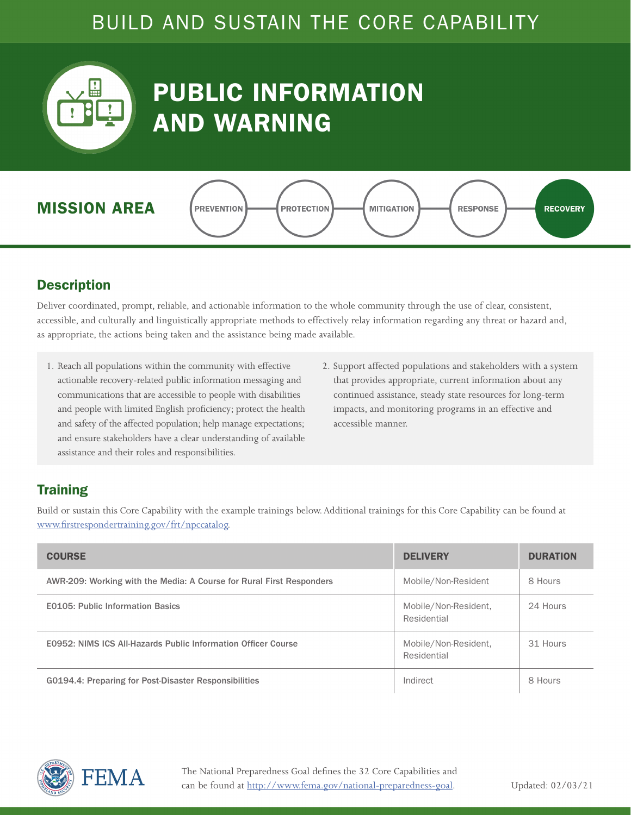<span id="page-3-0"></span>

## PUBLIC INFORMATION AND WARNING



#### **Description**

Deliver coordinated, prompt, reliable, and actionable information to the whole community through the use of clear, consistent, accessible, and culturally and linguistically appropriate methods to effectively relay information regarding any threat or hazard and, as appropriate, the actions being taken and the assistance being made available.

- 1. Reach all populations within the community with effective actionable recovery-related public information messaging and communications that are accessible to people with disabilities and people with limited English proficiency; protect the health and safety of the affected population; help manage expectations; and ensure stakeholders have a clear understanding of available assistance and their roles and responsibilities.
- 2. Support affected populations and stakeholders with a system that provides appropriate, current information about any continued assistance, steady state resources for long-term impacts, and monitoring programs in an effective and accessible manner.

#### **Training**

| <b>COURSE</b>                                                        | <b>DELIVERY</b>                     | <b>DURATION</b> |
|----------------------------------------------------------------------|-------------------------------------|-----------------|
| AWR-209: Working with the Media: A Course for Rural First Responders | Mobile/Non-Resident                 | 8 Hours         |
| <b>E0105: Public Information Basics</b>                              | Mobile/Non-Resident,<br>Residential | 24 Hours        |
| E0952: NIMS ICS All-Hazards Public Information Officer Course        | Mobile/Non-Resident,<br>Residential | 31 Hours        |
| G0194.4: Preparing for Post-Disaster Responsibilities                | Indirect                            | 8 Hours         |

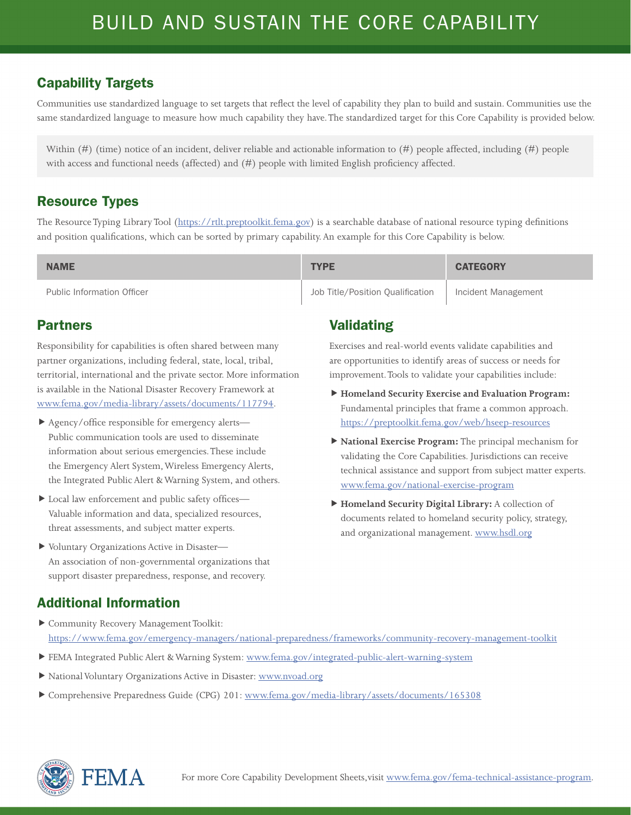Communities use standardized language to set targets that reflect the level of capability they plan to build and sustain. Communities use the same standardized language to measure how much capability they have. The standardized target for this Core Capability is provided below.

Within  $(\#)$  (time) notice of an incident, deliver reliable and actionable information to  $(\#)$  people affected, including  $(\#)$  people with access and functional needs (affected) and (#) people with limited English proficiency affected.

#### Resource Types

The Resource Typing Library Tool (<https://rtlt.preptoolkit.fema.gov>) is a searchable database of national resource typing definitions and position qualifications, which can be sorted by primary capability. An example for this Core Capability is below.

| <b>NAME</b>                       | <b>TYPE</b>                      | <b>CATEGORY</b>     |
|-----------------------------------|----------------------------------|---------------------|
| <b>Public Information Officer</b> | Job Title/Position Oualification | Incident Management |

#### Partners

Responsibility for capabilities is often shared between many partner organizations, including federal, state, local, tribal, territorial, international and the private sector. More information is available in the National Disaster Recovery Framework at [www.fema.gov/media-library/assets/documents/117794](http://www.fema.gov/media-library/assets/documents/117794).

- Agency/office responsible for emergency alerts— Public communication tools are used to disseminate information about serious emergencies. These include the Emergency Alert System, Wireless Emergency Alerts, the Integrated Public Alert & Warning System, and others.
- ▶ Local law enforcement and public safety offices— Valuable information and data, specialized resources, threat assessments, and subject matter experts.
- Voluntary Organizations Active in Disaster— An association of non-governmental organizations that support disaster preparedness, response, and recovery.

### Validating

Exercises and real-world events validate capabilities and are opportunities to identify areas of success or needs for improvement. Tools to validate your capabilities include:

- **Homeland Security Exercise and Evaluation Program:**  Fundamental principles that frame a common approach. <https://preptoolkit.fema.gov/web/hseep-resources>
- **National Exercise Program:** The principal mechanism for validating the Core Capabilities. Jurisdictions can receive technical assistance and support from subject matter experts. [www.fema.gov/national-exercise-program](http://www.fema.gov/national-exercise-program)
- **Homeland Security Digital Library:** A collection of documents related to homeland security policy, strategy, and organizational management. [www.hsdl.org](http://www.hsdl.org)

- Community Recovery Management Toolkit: <https://www.fema.gov/emergency-managers/national-preparedness/frameworks/community-recovery-management-toolkit>
- FEMA Integrated Public Alert & Warning System: [www.fema.gov/integrated-public-alert-warning-system](http://www.fema.gov/integrated-public-alert-warning-system)
- National Voluntary Organizations Active in Disaster: [www.nvoad.org](http://www.nvoad.org)
- Comprehensive Preparedness Guide (CPG) 201: [www.fema.gov/media-library/assets/documents/165308](http://www.fema.gov/media-library/assets/documents/165308)

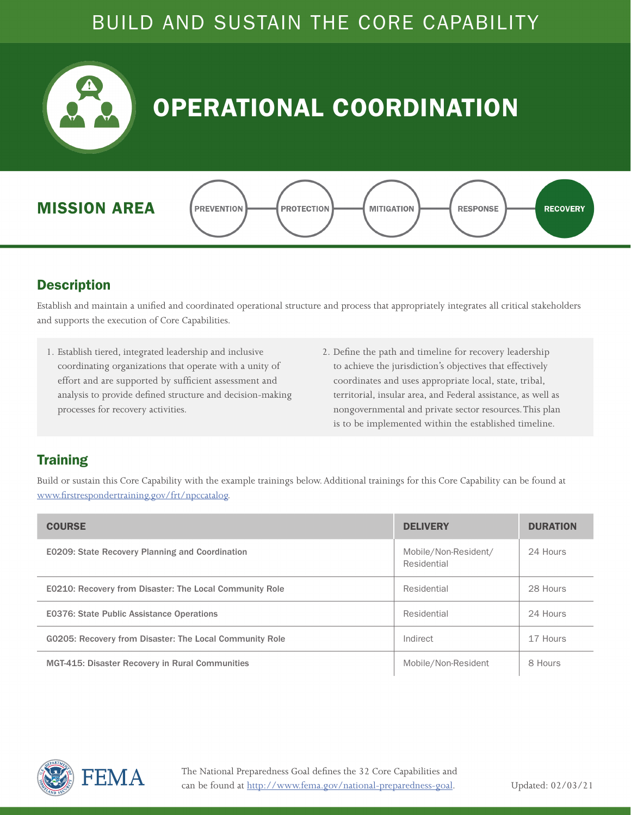

## OPERATIONAL COORDINATION





#### **Description**

Establish and maintain a unified and coordinated operational structure and process that appropriately integrates all critical stakeholders and supports the execution of Core Capabilities.

- 1. Establish tiered, integrated leadership and inclusive coordinating organizations that operate with a unity of effort and are supported by sufficient assessment and analysis to provide defined structure and decision-making processes for recovery activities.
- 2. Define the path and timeline for recovery leadership to achieve the jurisdiction's objectives that effectively coordinates and uses appropriate local, state, tribal, territorial, insular area, and Federal assistance, as well as nongovernmental and private sector resources. This plan is to be implemented within the established timeline.

#### **Training**

| <b>COURSE</b>                                                  | <b>DELIVERY</b>                     | <b>DURATION</b> |
|----------------------------------------------------------------|-------------------------------------|-----------------|
| <b>E0209: State Recovery Planning and Coordination</b>         | Mobile/Non-Resident/<br>Residential | 24 Hours        |
| <b>E0210: Recovery from Disaster: The Local Community Role</b> | Residential                         | 28 Hours        |
| <b>E0376: State Public Assistance Operations</b>               | Residential                         | 24 Hours        |
| G0205: Recovery from Disaster: The Local Community Role        | Indirect                            | 17 Hours        |
| <b>MGT-415: Disaster Recovery in Rural Communities</b>         | Mobile/Non-Resident                 | 8 Hours         |

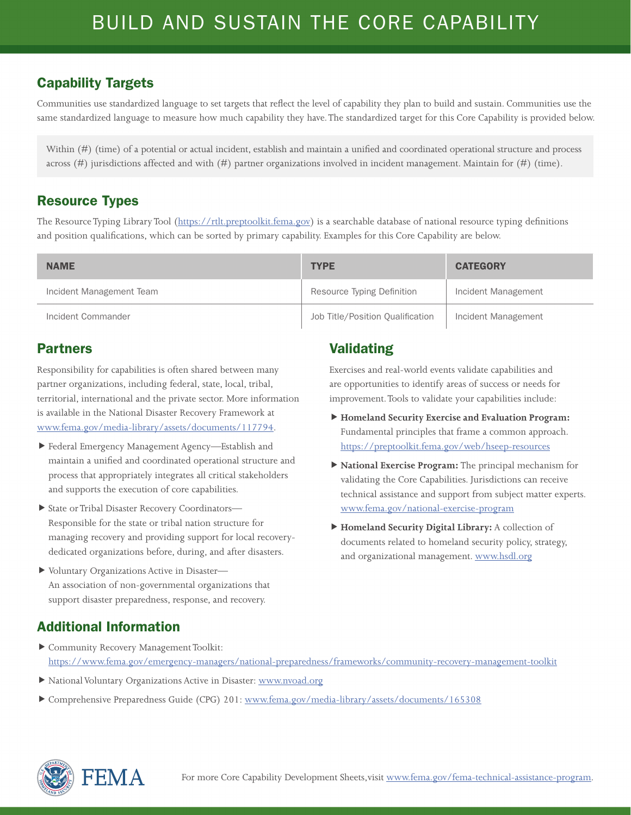Communities use standardized language to set targets that reflect the level of capability they plan to build and sustain. Communities use the same standardized language to measure how much capability they have. The standardized target for this Core Capability is provided below.

Within (#) (time) of a potential or actual incident, establish and maintain a unified and coordinated operational structure and process across (#) jurisdictions affected and with (#) partner organizations involved in incident management. Maintain for (#) (time).

#### Resource Types

The Resource Typing Library Tool (<https://rtlt.preptoolkit.fema.gov>) is a searchable database of national resource typing definitions and position qualifications, which can be sorted by primary capability. Examples for this Core Capability are below.

| <b>NAME</b>              | <b>TYPE</b>                      | <b>CATEGORY</b>     |
|--------------------------|----------------------------------|---------------------|
| Incident Management Team | Resource Typing Definition       | Incident Management |
| Incident Commander       | Job Title/Position Qualification | Incident Management |

#### Partners

Responsibility for capabilities is often shared between many partner organizations, including federal, state, local, tribal, territorial, international and the private sector. More information is available in the National Disaster Recovery Framework at [www.fema.gov/media-library/assets/documents/117794](http://www.fema.gov/media-library/assets/documents/117794).

- Federal Emergency Management Agency—Establish and maintain a unified and coordinated operational structure and process that appropriately integrates all critical stakeholders and supports the execution of core capabilities.
- State or Tribal Disaster Recovery Coordinators— Responsible for the state or tribal nation structure for managing recovery and providing support for local recoverydedicated organizations before, during, and after disasters.
- Voluntary Organizations Active in Disaster— An association of non-governmental organizations that support disaster preparedness, response, and recovery.

#### Additional Information

- Community Recovery Management Toolkit: <https://www.fema.gov/emergency-managers/national-preparedness/frameworks/community-recovery-management-toolkit>
- National Voluntary Organizations Active in Disaster: [www.nvoad.org](http://www.nvoad.org)
- Comprehensive Preparedness Guide (CPG) 201: [www.fema.gov/media-library/assets/documents/165308](http://www.fema.gov/media-library/assets/documents/165308)

#### Validating

Exercises and real-world events validate capabilities and are opportunities to identify areas of success or needs for improvement. Tools to validate your capabilities include:

- **Homeland Security Exercise and Evaluation Program:**  Fundamental principles that frame a common approach. <https://preptoolkit.fema.gov/web/hseep-resources>
- **National Exercise Program:** The principal mechanism for validating the Core Capabilities. Jurisdictions can receive technical assistance and support from subject matter experts. [www.fema.gov/national-exercise-program](http://www.fema.gov/national-exercise-program)
- **Homeland Security Digital Library:** A collection of documents related to homeland security policy, strategy, and organizational management. [www.hsdl.org](http://www.hsdl.org)

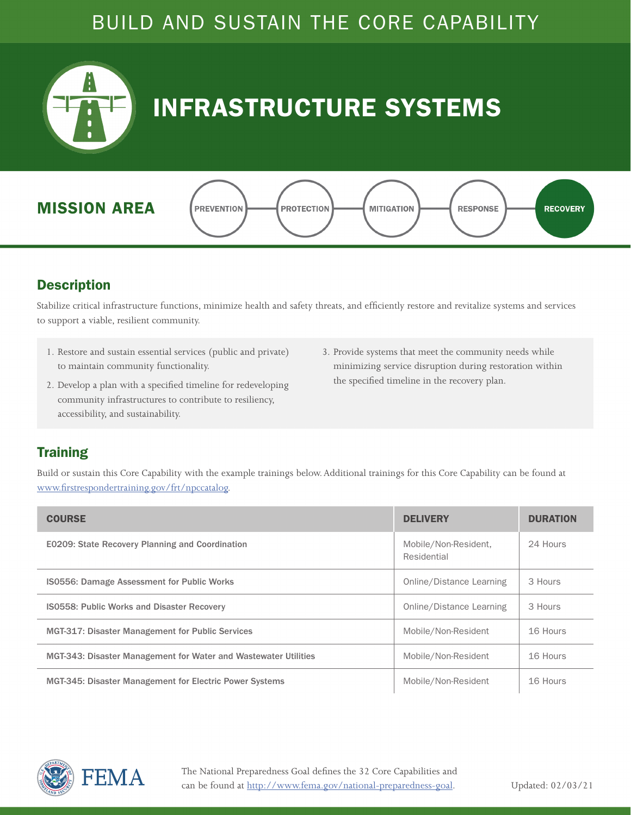<span id="page-7-0"></span>

## INFRASTRUCTURE SYSTEMS



#### **Description**

Stabilize critical infrastructure functions, minimize health and safety threats, and efficiently restore and revitalize systems and services to support a viable, resilient community.

- 1. Restore and sustain essential services (public and private) to maintain community functionality.
- 2. Develop a plan with a specified timeline for redeveloping community infrastructures to contribute to resiliency, accessibility, and sustainability.
- 3. Provide systems that meet the community needs while minimizing service disruption during restoration within the specified timeline in the recovery plan.

#### **Training**

| <b>COURSE</b>                                                   | <b>DELIVERY</b>                     | <b>DURATION</b> |
|-----------------------------------------------------------------|-------------------------------------|-----------------|
| <b>E0209: State Recovery Planning and Coordination</b>          | Mobile/Non-Resident,<br>Residential | 24 Hours        |
| IS0556: Damage Assessment for Public Works                      | Online/Distance Learning            | 3 Hours         |
| <b>IS0558: Public Works and Disaster Recovery</b>               | Online/Distance Learning            | 3 Hours         |
| <b>MGT-317: Disaster Management for Public Services</b>         | Mobile/Non-Resident                 | 16 Hours        |
| MGT-343: Disaster Management for Water and Wastewater Utilities | Mobile/Non-Resident                 | 16 Hours        |
| <b>MGT-345: Disaster Management for Electric Power Systems</b>  | Mobile/Non-Resident                 | 16 Hours        |

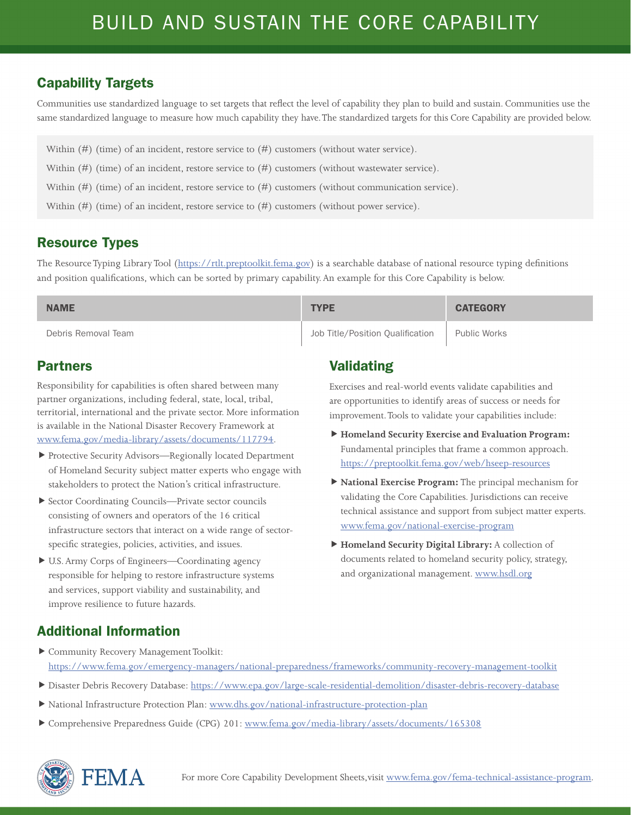Communities use standardized language to set targets that reflect the level of capability they plan to build and sustain. Communities use the same standardized language to measure how much capability they have. The standardized targets for this Core Capability are provided below.

- Within (#) (time) of an incident, restore service to (#) customers (without water service).
- Within  $(\#)$  (time) of an incident, restore service to  $(\#)$  customers (without wastewater service).
- Within (#) (time) of an incident, restore service to (#) customers (without communication service).
- Within (#) (time) of an incident, restore service to (#) customers (without power service).

#### Resource Types

The Resource Typing Library Tool (<https://rtlt.preptoolkit.fema.gov>) is a searchable database of national resource typing definitions and position qualifications, which can be sorted by primary capability. An example for this Core Capability is below.

| <b>NAME</b>         | <b>TYPE</b>                      | <b>CATEGORY</b> |
|---------------------|----------------------------------|-----------------|
| Debris Removal Team | Job Title/Position Qualification | Public Works    |

#### Partners

Responsibility for capabilities is often shared between many partner organizations, including federal, state, local, tribal, territorial, international and the private sector. More information is available in the National Disaster Recovery Framework at [www.fema.gov/media-library/assets/documents/117794](http://www.fema.gov/media-library/assets/documents/117794).

- Protective Security Advisors—Regionally located Department of Homeland Security subject matter experts who engage with stakeholders to protect the Nation's critical infrastructure.
- Sector Coordinating Councils—Private sector councils consisting of owners and operators of the 16 critical infrastructure sectors that interact on a wide range of sectorspecific strategies, policies, activities, and issues.
- U.S. Army Corps of Engineers—Coordinating agency responsible for helping to restore infrastructure systems and services, support viability and sustainability, and improve resilience to future hazards.

#### Validating

Exercises and real-world events validate capabilities and are opportunities to identify areas of success or needs for improvement. Tools to validate your capabilities include:

- **Homeland Security Exercise and Evaluation Program:**  Fundamental principles that frame a common approach. <https://preptoolkit.fema.gov/web/hseep-resources>
- **National Exercise Program:** The principal mechanism for validating the Core Capabilities. Jurisdictions can receive technical assistance and support from subject matter experts. [www.fema.gov/national-exercise-program](http://www.fema.gov/national-exercise-program)
- **Homeland Security Digital Library:** A collection of documents related to homeland security policy, strategy, and organizational management. [www.hsdl.org](http://www.hsdl.org)

- Community Recovery Management Toolkit: <https://www.fema.gov/emergency-managers/national-preparedness/frameworks/community-recovery-management-toolkit>
- Disaster Debris Recovery Database:<https://www.epa.gov/large-scale-residential-demolition/disaster-debris-recovery-database>
- National Infrastructure Protection Plan: [www.dhs.gov/national-infrastructure-protection-plan](http://www.dhs.gov/national-infrastructure-protection-plan)
- Comprehensive Preparedness Guide (CPG) 201: [www.fema.gov/media-library/assets/documents/165308](http://www.fema.gov/media-library/assets/documents/165308)

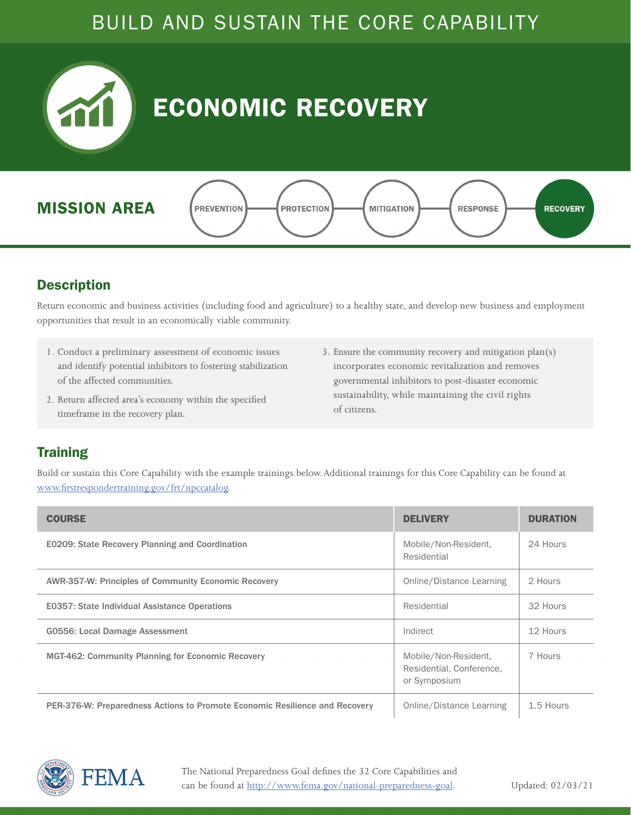<span id="page-9-0"></span>

#### **Description**

Return economic and business activities (including food and agriculture) to a healthy state, and develop new business and employment opportunities that result in an economically viable community.

- 1. Conduct a preliminary assessment of economic issues and identify potential inhibitors to fostering stabilization of the affected communities.
- 2. Return affected area's economy within the specified timeframe in the recovery plan.
- 3. Ensure the community recovery and mitigation plan(s) incorporates economic revitalization and removes governmental inhibitors to post-disaster economic sustainability, while maintaining the civil rights of citizens.

#### **Training**

| <b>COURSE</b>                                                               | <b>DELIVERY</b>                                                  | <b>DURATION</b> |
|-----------------------------------------------------------------------------|------------------------------------------------------------------|-----------------|
| <b>E0209: State Recovery Planning and Coordination</b>                      | Mobile/Non-Resident,<br>Residential                              | 24 Hours        |
| <b>AWR-357-W: Principles of Community Economic Recovery</b>                 | Online/Distance Learning                                         | 2 Hours         |
| <b>E0357: State Individual Assistance Operations</b>                        | Residential                                                      | 32 Hours        |
| <b>G0556: Local Damage Assessment</b>                                       | Indirect                                                         | 12 Hours        |
| <b>MGT-462: Community Planning for Economic Recovery</b>                    | Mobile/Non-Resident,<br>Residential, Conference,<br>or Symposium | 7 Hours         |
| PER-376-W: Preparedness Actions to Promote Economic Resilience and Recovery | Online/Distance Learning                                         | 1.5 Hours       |

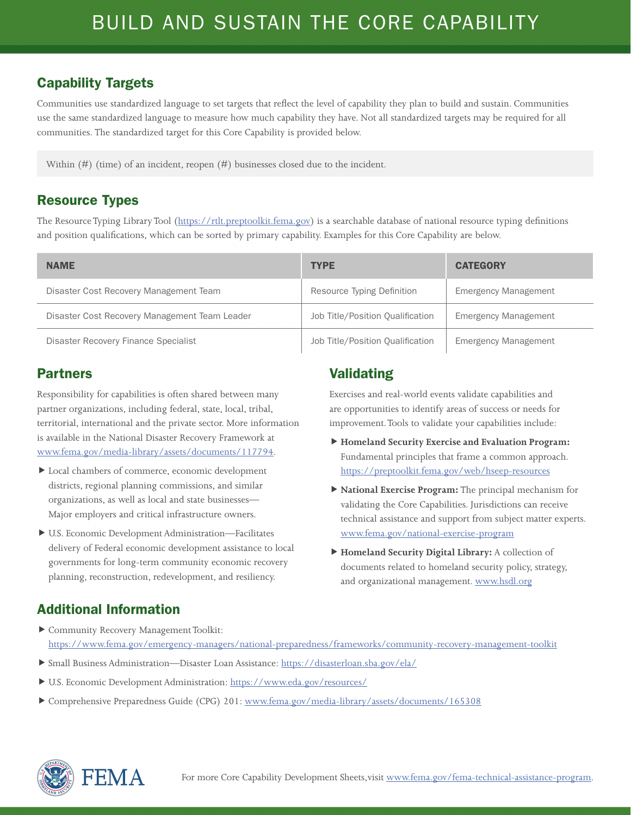Communities use standardized language to set targets that reflect the level of capability they plan to build and sustain. Communities use the same standardized language to measure how much capability they have. Not all standardized targets may be required for all communities. The standardized target for this Core Capability is provided below.

Within (#) (time) of an incident, reopen (#) businesses closed due to the incident.

#### Resource Types

The Resource Typing Library Tool (<https://rtlt.preptoolkit.fema.gov>) is a searchable database of national resource typing definitions and position qualifications, which can be sorted by primary capability. Examples for this Core Capability are below.

| <b>NAME</b>                                   | <b>TYPE</b>                      | <b>CATEGORY</b>             |
|-----------------------------------------------|----------------------------------|-----------------------------|
| Disaster Cost Recovery Management Team        | Resource Typing Definition       | <b>Emergency Management</b> |
| Disaster Cost Recovery Management Team Leader | Job Title/Position Qualification | <b>Emergency Management</b> |
| Disaster Recovery Finance Specialist          | Job Title/Position Qualification | <b>Emergency Management</b> |

#### Partners

Responsibility for capabilities is often shared between many partner organizations, including federal, state, local, tribal, territorial, international and the private sector. More information is available in the National Disaster Recovery Framework at [www.fema.gov/media-library/assets/documents/117794](http://www.fema.gov/media-library/assets/documents/117794).

- Local chambers of commerce, economic development districts, regional planning commissions, and similar organizations, as well as local and state businesses— Major employers and critical infrastructure owners.
- U.S. Economic Development Administration—Facilitates delivery of Federal economic development assistance to local governments for long-term community economic recovery planning, reconstruction, redevelopment, and resiliency.

#### Validating

Exercises and real-world events validate capabilities and are opportunities to identify areas of success or needs for improvement. Tools to validate your capabilities include:

- **Homeland Security Exercise and Evaluation Program:**  Fundamental principles that frame a common approach. <https://preptoolkit.fema.gov/web/hseep-resources>
- **National Exercise Program:** The principal mechanism for validating the Core Capabilities. Jurisdictions can receive technical assistance and support from subject matter experts. [www.fema.gov/national-exercise-program](http://www.fema.gov/national-exercise-program)
- **Homeland Security Digital Library:** A collection of documents related to homeland security policy, strategy, and organizational management. [www.hsdl.org](http://www.hsdl.org)

- Community Recovery Management Toolkit: <https://www.fema.gov/emergency-managers/national-preparedness/frameworks/community-recovery-management-toolkit>
- Small Business Administration—Disaster Loan Assistance: <https://disasterloan.sba.gov/ela/>
- U.S. Economic Development Administration: <https://www.eda.gov/resources/>
- Comprehensive Preparedness Guide (CPG) 201: [www.fema.gov/media-library/assets/documents/165308](http://www.fema.gov/media-library/assets/documents/165308)

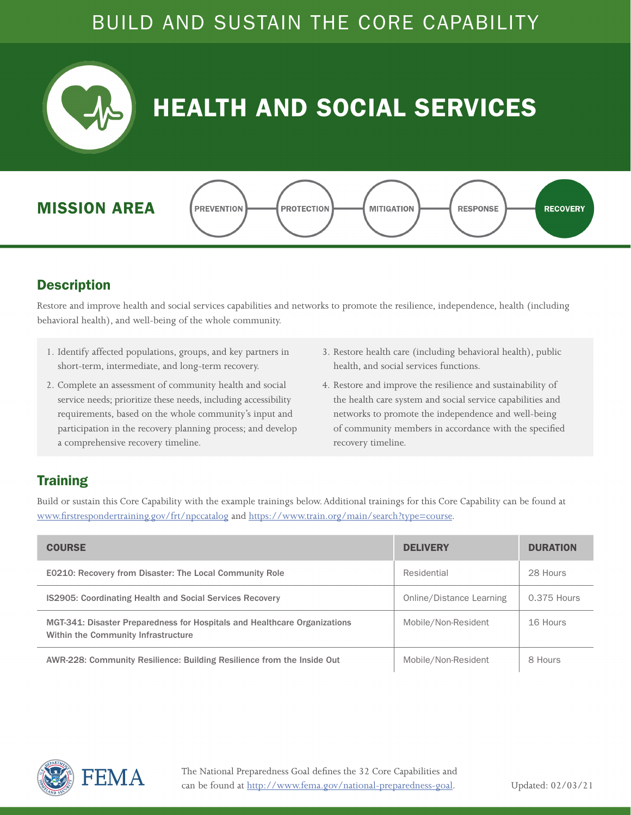<span id="page-11-0"></span>

## HEALTH AND SOCIAL SERVICES





#### **Description**

Restore and improve health and social services capabilities and networks to promote the resilience, independence, health (including behavioral health), and well-being of the whole community.

- 1. Identify affected populations, groups, and key partners in short-term, intermediate, and long-term recovery.
- 2. Complete an assessment of community health and social service needs; prioritize these needs, including accessibility requirements, based on the whole community's input and participation in the recovery planning process; and develop a comprehensive recovery timeline.
- 3. Restore health care (including behavioral health), public health, and social services functions.
- 4. Restore and improve the resilience and sustainability of the health care system and social service capabilities and networks to promote the independence and well-being of community members in accordance with the specified recovery timeline.

#### **Training**

Build or sustain this Core Capability with the example trainings below. Additional trainings for this Core Capability can be found at [www.firstrespondertraining.gov/frt/npccatalog](http://www.firstrespondertraining.gov/frt/npccatalog) and [https://www.train.org/main/search?type=course.](https://www.train.org/main/search?type=course)

| <b>COURSE</b>                                                                                                    | <b>DELIVERY</b>          | <b>DURATION</b> |
|------------------------------------------------------------------------------------------------------------------|--------------------------|-----------------|
| <b>E0210: Recovery from Disaster: The Local Community Role</b>                                                   | Residential              | 28 Hours        |
| <b>IS2905: Coordinating Health and Social Services Recovery</b>                                                  | Online/Distance Learning | 0.375 Hours     |
| MGT-341: Disaster Preparedness for Hospitals and Healthcare Organizations<br>Within the Community Infrastructure | Mobile/Non-Resident      | 16 Hours        |
| AWR-228: Community Resilience: Building Resilience from the Inside Out                                           | Mobile/Non-Resident      | 8 Hours         |

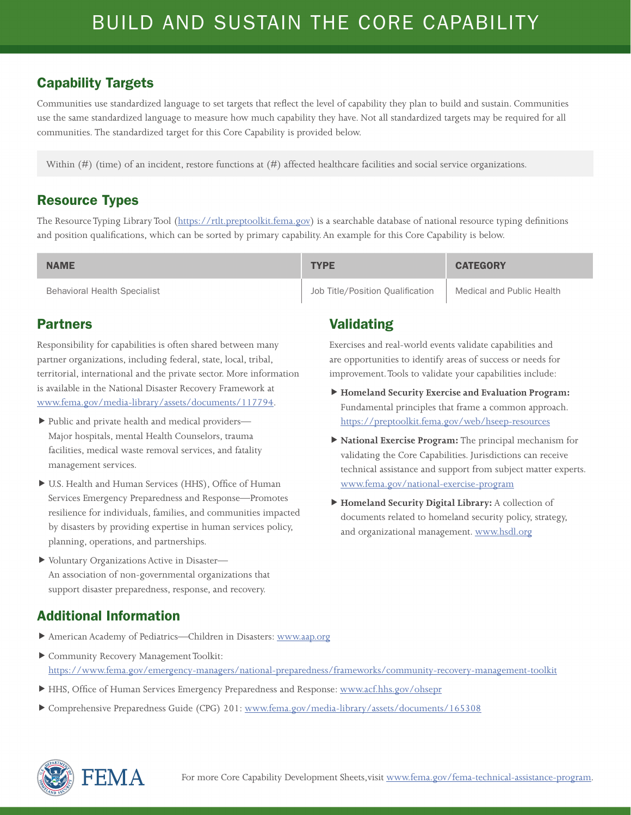Communities use standardized language to set targets that reflect the level of capability they plan to build and sustain. Communities use the same standardized language to measure how much capability they have. Not all standardized targets may be required for all communities. The standardized target for this Core Capability is provided below.

Within (#) (time) of an incident, restore functions at (#) affected healthcare facilities and social service organizations.

#### Resource Types

The Resource Typing Library Tool (<https://rtlt.preptoolkit.fema.gov>) is a searchable database of national resource typing definitions and position qualifications, which can be sorted by primary capability. An example for this Core Capability is below.

| <b>NAME</b>                         | <b>TYPE</b>                      | <b>CATEGORY</b>           |
|-------------------------------------|----------------------------------|---------------------------|
| <b>Behavioral Health Specialist</b> | Job Title/Position Oualification | Medical and Public Health |

#### Partners

Responsibility for capabilities is often shared between many partner organizations, including federal, state, local, tribal, territorial, international and the private sector. More information is available in the National Disaster Recovery Framework at [www.fema.gov/media-library/assets/documents/117794](http://www.fema.gov/media-library/assets/documents/117794).

- Public and private health and medical providers— Major hospitals, mental Health Counselors, trauma facilities, medical waste removal services, and fatality management services.
- U.S. Health and Human Services (HHS), Office of Human Services Emergency Preparedness and Response—Promotes resilience for individuals, families, and communities impacted by disasters by providing expertise in human services policy, planning, operations, and partnerships.
- Voluntary Organizations Active in Disaster— An association of non-governmental organizations that support disaster preparedness, response, and recovery.

### Validating

Exercises and real-world events validate capabilities and are opportunities to identify areas of success or needs for improvement. Tools to validate your capabilities include:

- **Homeland Security Exercise and Evaluation Program:**  Fundamental principles that frame a common approach. <https://preptoolkit.fema.gov/web/hseep-resources>
- **National Exercise Program:** The principal mechanism for validating the Core Capabilities. Jurisdictions can receive technical assistance and support from subject matter experts. [www.fema.gov/national-exercise-program](http://www.fema.gov/national-exercise-program)
- **Homeland Security Digital Library:** A collection of documents related to homeland security policy, strategy, and organizational management. [www.hsdl.org](http://www.hsdl.org)

- American Academy of Pediatrics—Children in Disasters: [www.aap.org](http://www.aap.org)
- Community Recovery Management Toolkit: <https://www.fema.gov/emergency-managers/national-preparedness/frameworks/community-recovery-management-toolkit>
- ▶ HHS, Office of Human Services Emergency Preparedness and Response: [www.acf.hhs.gov/ohsepr](http://www.acf.hhs.gov/ohsepr)
- Comprehensive Preparedness Guide (CPG) 201: [www.fema.gov/media-library/assets/documents/165308](http://www.fema.gov/media-library/assets/documents/165308)

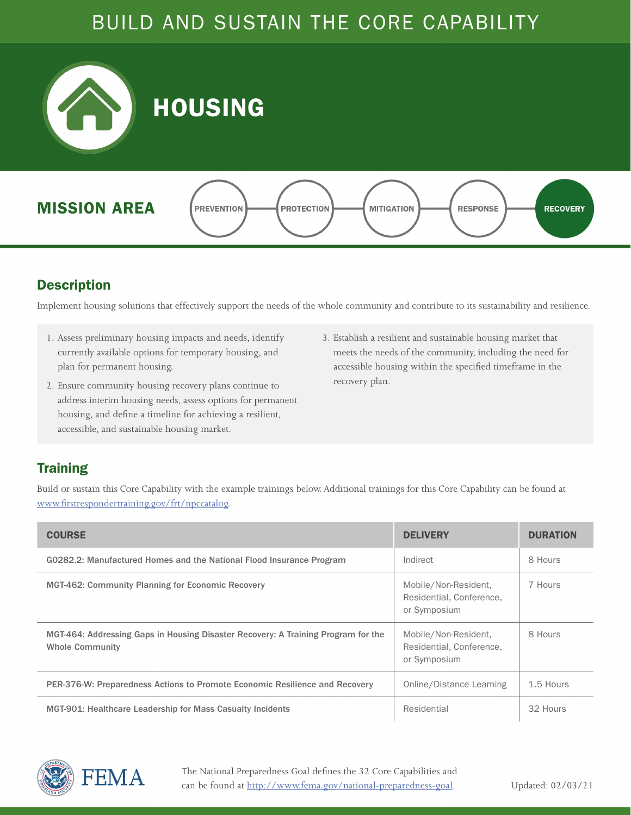<span id="page-13-0"></span>

#### **Description**

Implement housing solutions that effectively support the needs of the whole community and contribute to its sustainability and resilience.

- 1. Assess preliminary housing impacts and needs, identify currently available options for temporary housing, and plan for permanent housing.
- 2. Ensure community housing recovery plans continue to address interim housing needs, assess options for permanent housing, and define a timeline for achieving a resilient, accessible, and sustainable housing market.
- 3. Establish a resilient and sustainable housing market that meets the needs of the community, including the need for accessible housing within the specified timeframe in the recovery plan.

#### **Training**

Build or sustain this Core Capability with the example trainings below. Additional trainings for this Core Capability can be found at [www.firstrespondertraining.gov/frt/npccatalog](http://www.firstrespondertraining.gov/frt/npccatalog).

| <b>COURSE</b>                                                                                               | <b>DELIVERY</b>                                                  | <b>DURATION</b> |
|-------------------------------------------------------------------------------------------------------------|------------------------------------------------------------------|-----------------|
| G0282.2: Manufactured Homes and the National Flood Insurance Program                                        | Indirect                                                         | 8 Hours         |
| <b>MGT-462: Community Planning for Economic Recovery</b>                                                    | Mobile/Non-Resident,<br>Residential, Conference,<br>or Symposium | 7 Hours         |
| MGT-464: Addressing Gaps in Housing Disaster Recovery: A Training Program for the<br><b>Whole Community</b> | Mobile/Non-Resident,<br>Residential, Conference,<br>or Symposium | 8 Hours         |
| PER-376-W: Preparedness Actions to Promote Economic Resilience and Recovery                                 | Online/Distance Learning                                         | 1.5 Hours       |
| MGT-901: Healthcare Leadership for Mass Casualty Incidents                                                  | Residential                                                      | 32 Hours        |



The National Preparedness Goal defines the 32 Core Capabilities and can be found at http://www.fema.gov/national-preparedness-goal.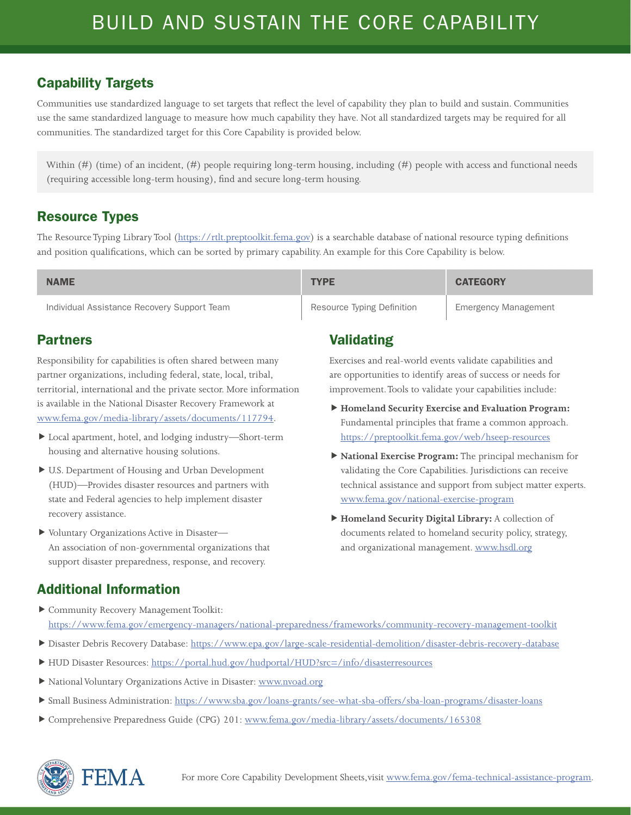Communities use standardized language to set targets that reflect the level of capability they plan to build and sustain. Communities use the same standardized language to measure how much capability they have. Not all standardized targets may be required for all communities. The standardized target for this Core Capability is provided below.

Within (#) (time) of an incident, (#) people requiring long-term housing, including (#) people with access and functional needs (requiring accessible long-term housing), find and secure long-term housing.

#### Resource Types

The Resource Typing Library Tool (<https://rtlt.preptoolkit.fema.gov>) is a searchable database of national resource typing definitions and position qualifications, which can be sorted by primary capability. An example for this Core Capability is below.

| <b>NAME</b>                                 | <b>TYPE</b>                | <b>CATEGORY</b>             |
|---------------------------------------------|----------------------------|-----------------------------|
| Individual Assistance Recovery Support Team | Resource Typing Definition | <b>Emergency Management</b> |

#### Partners

Responsibility for capabilities is often shared between many partner organizations, including federal, state, local, tribal, territorial, international and the private sector. More information is available in the National Disaster Recovery Framework at [www.fema.gov/media-library/assets/documents/117794](http://www.fema.gov/media-library/assets/documents/117794).

- Local apartment, hotel, and lodging industry—Short-term housing and alternative housing solutions.
- U.S. Department of Housing and Urban Development (HUD)—Provides disaster resources and partners with state and Federal agencies to help implement disaster recovery assistance.
- Voluntary Organizations Active in Disaster— An association of non-governmental organizations that support disaster preparedness, response, and recovery.

### Validating

Exercises and real-world events validate capabilities and are opportunities to identify areas of success or needs for improvement. Tools to validate your capabilities include:

- **Homeland Security Exercise and Evaluation Program:**  Fundamental principles that frame a common approach. <https://preptoolkit.fema.gov/web/hseep-resources>
- **National Exercise Program:** The principal mechanism for validating the Core Capabilities. Jurisdictions can receive technical assistance and support from subject matter experts. [www.fema.gov/national-exercise-program](http://www.fema.gov/national-exercise-program)
- **Homeland Security Digital Library:** A collection of documents related to homeland security policy, strategy, and organizational management. [www.hsdl.org](http://www.hsdl.org)

- Community Recovery Management Toolkit: <https://www.fema.gov/emergency-managers/national-preparedness/frameworks/community-recovery-management-toolkit>
- Disaster Debris Recovery Database:<https://www.epa.gov/large-scale-residential-demolition/disaster-debris-recovery-database>
- ▶ HUD Disaster Resources:<https://portal.hud.gov/hudportal/HUD?src=/info/disasterresources>
- National Voluntary Organizations Active in Disaster: [www.nvoad.org](http://www.nvoad.org)
- Small Business Administration: <https://www.sba.gov/loans-grants/see-what-sba-offers/sba-loan-programs/disaster-loans>
- Comprehensive Preparedness Guide (CPG) 201: [www.fema.gov/media-library/assets/documents/165308](http://www.fema.gov/media-library/assets/documents/165308)

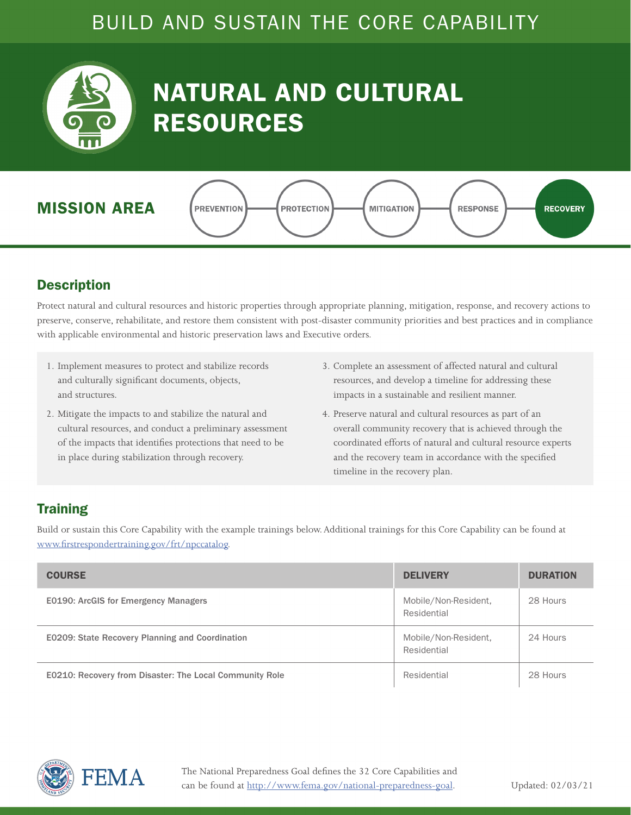<span id="page-15-0"></span>

## NATURAL AND CULTURAL RESOURCES



#### **Description**

Protect natural and cultural resources and historic properties through appropriate planning, mitigation, response, and recovery actions to preserve, conserve, rehabilitate, and restore them consistent with post-disaster community priorities and best practices and in compliance with applicable environmental and historic preservation laws and Executive orders.

- 1. Implement measures to protect and stabilize records and culturally significant documents, objects, and structures.
- 2. Mitigate the impacts to and stabilize the natural and cultural resources, and conduct a preliminary assessment of the impacts that identifies protections that need to be in place during stabilization through recovery.
- 3. Complete an assessment of affected natural and cultural resources, and develop a timeline for addressing these impacts in a sustainable and resilient manner.
- 4. Preserve natural and cultural resources as part of an overall community recovery that is achieved through the coordinated efforts of natural and cultural resource experts and the recovery team in accordance with the specified timeline in the recovery plan.

#### **Training**

| <b>COURSE</b>                                                  | <b>DELIVERY</b>                     | <b>DURATION</b> |
|----------------------------------------------------------------|-------------------------------------|-----------------|
| <b>E0190: ArcGIS for Emergency Managers</b>                    | Mobile/Non-Resident,<br>Residential | 28 Hours        |
| E0209: State Recovery Planning and Coordination                | Mobile/Non-Resident,<br>Residential | 24 Hours        |
| <b>E0210: Recovery from Disaster: The Local Community Role</b> | Residential                         | 28 Hours        |